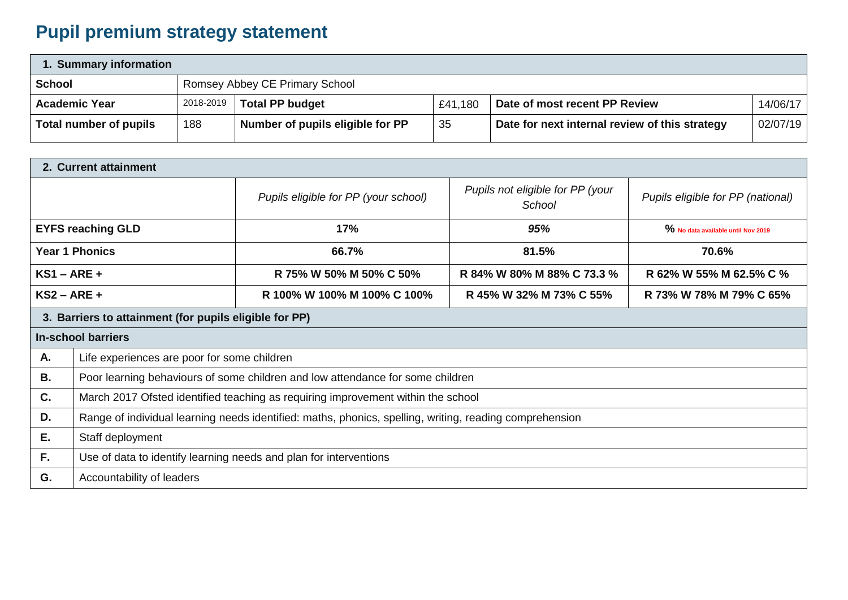## **Pupil premium strategy statement**

| 1. Summary information |                                |                                  |         |                                                |          |  |
|------------------------|--------------------------------|----------------------------------|---------|------------------------------------------------|----------|--|
| <b>School</b>          | Romsey Abbey CE Primary School |                                  |         |                                                |          |  |
| <b>Academic Year</b>   | 2018-2019                      | Total PP budget                  | £41,180 | Date of most recent PP Review                  | 14/06/17 |  |
| Total number of pupils | 188                            | Number of pupils eligible for PP | 35      | Date for next internal review of this strategy | 02/07/19 |  |

| 2. Current attainment                                  |                                                                                                         |                                      |                                            |                                    |  |
|--------------------------------------------------------|---------------------------------------------------------------------------------------------------------|--------------------------------------|--------------------------------------------|------------------------------------|--|
|                                                        |                                                                                                         | Pupils eligible for PP (your school) | Pupils not eligible for PP (your<br>School | Pupils eligible for PP (national)  |  |
| <b>EYFS reaching GLD</b>                               |                                                                                                         | 17%                                  | 95%                                        | % No data available until Nov 2019 |  |
| <b>Year 1 Phonics</b>                                  |                                                                                                         | 66.7%                                | 81.5%                                      | 70.6%                              |  |
| $KS1 - ARE +$                                          |                                                                                                         | R 75% W 50% M 50% C 50%              | R 84% W 80% M 88% C 73.3 %                 | R 62% W 55% M 62.5% C %            |  |
| $KS2 - ARE +$                                          |                                                                                                         | R 100% W 100% M 100% C 100%          | R 45% W 32% M 73% C 55%                    | R 73% W 78% M 79% C 65%            |  |
| 3. Barriers to attainment (for pupils eligible for PP) |                                                                                                         |                                      |                                            |                                    |  |
| <b>In-school barriers</b>                              |                                                                                                         |                                      |                                            |                                    |  |
| Α.                                                     | Life experiences are poor for some children                                                             |                                      |                                            |                                    |  |
| В.                                                     | Poor learning behaviours of some children and low attendance for some children                          |                                      |                                            |                                    |  |
| C.                                                     | March 2017 Ofsted identified teaching as requiring improvement within the school                        |                                      |                                            |                                    |  |
| D.                                                     | Range of individual learning needs identified: maths, phonics, spelling, writing, reading comprehension |                                      |                                            |                                    |  |
| Ε.                                                     | Staff deployment                                                                                        |                                      |                                            |                                    |  |
| F.                                                     | Use of data to identify learning needs and plan for interventions                                       |                                      |                                            |                                    |  |
| G.                                                     | Accountability of leaders                                                                               |                                      |                                            |                                    |  |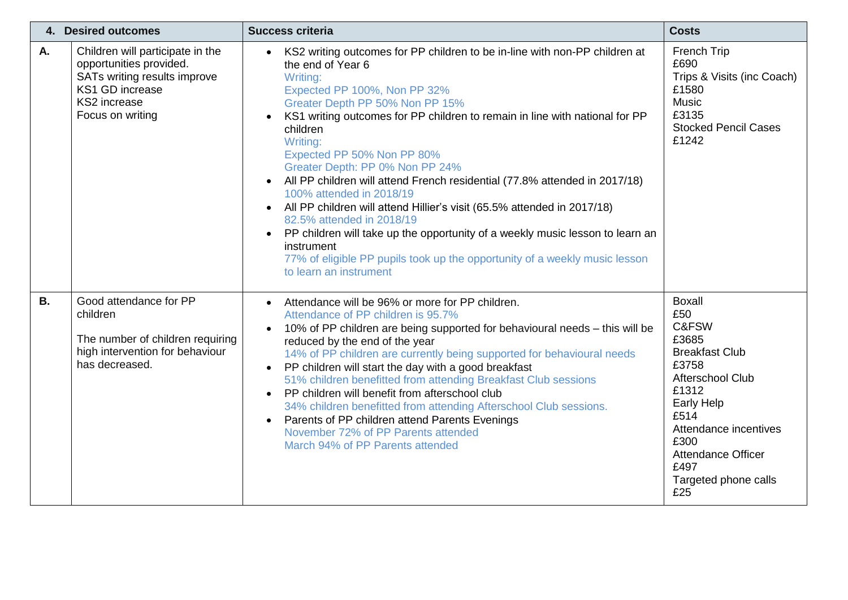| 4. Desired outcomes |                                                                                                                                                    | <b>Success criteria</b>                                                                                                                                                                                                                                                                                                                                                                                                                                                                                                                                                                                                                                                                                                                                                                                                | <b>Costs</b>                                                                                                                                                                                                                            |
|---------------------|----------------------------------------------------------------------------------------------------------------------------------------------------|------------------------------------------------------------------------------------------------------------------------------------------------------------------------------------------------------------------------------------------------------------------------------------------------------------------------------------------------------------------------------------------------------------------------------------------------------------------------------------------------------------------------------------------------------------------------------------------------------------------------------------------------------------------------------------------------------------------------------------------------------------------------------------------------------------------------|-----------------------------------------------------------------------------------------------------------------------------------------------------------------------------------------------------------------------------------------|
| Α.                  | Children will participate in the<br>opportunities provided.<br>SATs writing results improve<br>KS1 GD increase<br>KS2 increase<br>Focus on writing | KS2 writing outcomes for PP children to be in-line with non-PP children at<br>the end of Year 6<br>Writing:<br>Expected PP 100%, Non PP 32%<br>Greater Depth PP 50% Non PP 15%<br>KS1 writing outcomes for PP children to remain in line with national for PP<br>children<br>Writing:<br>Expected PP 50% Non PP 80%<br>Greater Depth: PP 0% Non PP 24%<br>All PP children will attend French residential (77.8% attended in 2017/18)<br>$\bullet$<br>100% attended in 2018/19<br>All PP children will attend Hillier's visit (65.5% attended in 2017/18)<br>$\bullet$<br>82.5% attended in 2018/19<br>PP children will take up the opportunity of a weekly music lesson to learn an<br>$\bullet$<br>instrument<br>77% of eligible PP pupils took up the opportunity of a weekly music lesson<br>to learn an instrument | French Trip<br>£690<br>Trips & Visits (inc Coach)<br>£1580<br><b>Music</b><br>£3135<br><b>Stocked Pencil Cases</b><br>£1242                                                                                                             |
| <b>B.</b>           | Good attendance for PP<br>children<br>The number of children requiring<br>high intervention for behaviour<br>has decreased.                        | Attendance will be 96% or more for PP children.<br>$\bullet$<br>Attendance of PP children is 95.7%<br>10% of PP children are being supported for behavioural needs - this will be<br>$\bullet$<br>reduced by the end of the year<br>14% of PP children are currently being supported for behavioural needs<br>PP children will start the day with a good breakfast<br>$\bullet$<br>51% children benefitted from attending Breakfast Club sessions<br>PP children will benefit from afterschool club<br>$\bullet$<br>34% children benefitted from attending Afterschool Club sessions.<br>Parents of PP children attend Parents Evenings<br>November 72% of PP Parents attended<br>March 94% of PP Parents attended                                                                                                     | <b>Boxall</b><br>£50<br>C&FSW<br>£3685<br><b>Breakfast Club</b><br>£3758<br>Afterschool Club<br>£1312<br><b>Early Help</b><br>£514<br>Attendance incentives<br>£300<br><b>Attendance Officer</b><br>£497<br>Targeted phone calls<br>£25 |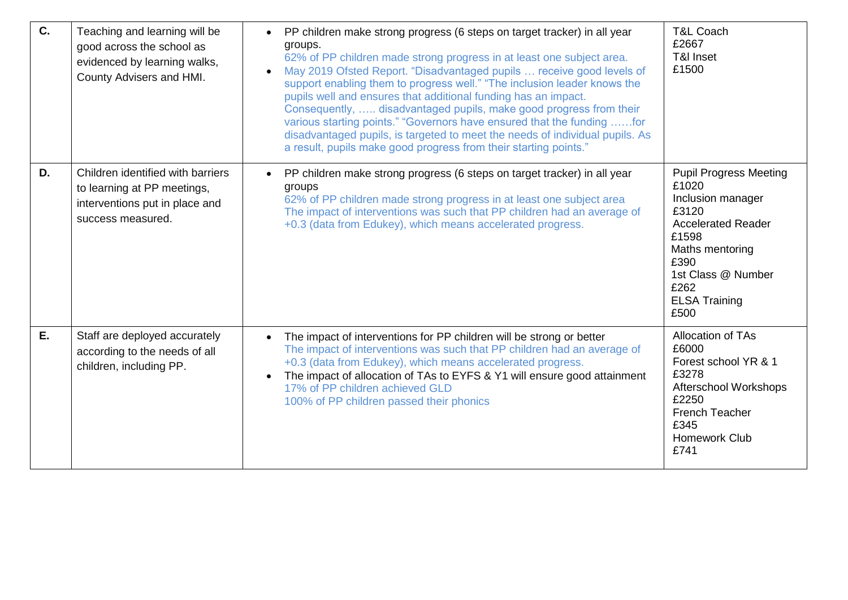| C. | Teaching and learning will be<br>good across the school as<br>evidenced by learning walks,<br>County Advisers and HMI.  | PP children make strong progress (6 steps on target tracker) in all year<br>$\bullet$<br>groups.<br>62% of PP children made strong progress in at least one subject area.<br>May 2019 Ofsted Report. "Disadvantaged pupils  receive good levels of<br>support enabling them to progress well." "The inclusion leader knows the<br>pupils well and ensures that additional funding has an impact.<br>Consequently,  disadvantaged pupils, make good progress from their<br>various starting points." "Governors have ensured that the funding for<br>disadvantaged pupils, is targeted to meet the needs of individual pupils. As<br>a result, pupils make good progress from their starting points." | <b>T&amp;L Coach</b><br>£2667<br>T&I Inset<br>£1500                                                                                                                                                 |
|----|-------------------------------------------------------------------------------------------------------------------------|------------------------------------------------------------------------------------------------------------------------------------------------------------------------------------------------------------------------------------------------------------------------------------------------------------------------------------------------------------------------------------------------------------------------------------------------------------------------------------------------------------------------------------------------------------------------------------------------------------------------------------------------------------------------------------------------------|-----------------------------------------------------------------------------------------------------------------------------------------------------------------------------------------------------|
| D. | Children identified with barriers<br>to learning at PP meetings,<br>interventions put in place and<br>success measured. | PP children make strong progress (6 steps on target tracker) in all year<br>$\bullet$<br>groups<br>62% of PP children made strong progress in at least one subject area<br>The impact of interventions was such that PP children had an average of<br>+0.3 (data from Edukey), which means accelerated progress.                                                                                                                                                                                                                                                                                                                                                                                     | <b>Pupil Progress Meeting</b><br>£1020<br>Inclusion manager<br>£3120<br><b>Accelerated Reader</b><br>£1598<br>Maths mentoring<br>£390<br>1st Class @ Number<br>£262<br><b>ELSA Training</b><br>£500 |
| Ε. | Staff are deployed accurately<br>according to the needs of all<br>children, including PP.                               | The impact of interventions for PP children will be strong or better<br>$\bullet$<br>The impact of interventions was such that PP children had an average of<br>+0.3 (data from Edukey), which means accelerated progress.<br>The impact of allocation of TAs to EYFS & Y1 will ensure good attainment<br>17% of PP children achieved GLD<br>100% of PP children passed their phonics                                                                                                                                                                                                                                                                                                                | Allocation of TAs<br>£6000<br>Forest school YR & 1<br>£3278<br>Afterschool Workshops<br>£2250<br>French Teacher<br>£345<br><b>Homework Club</b><br>£741                                             |